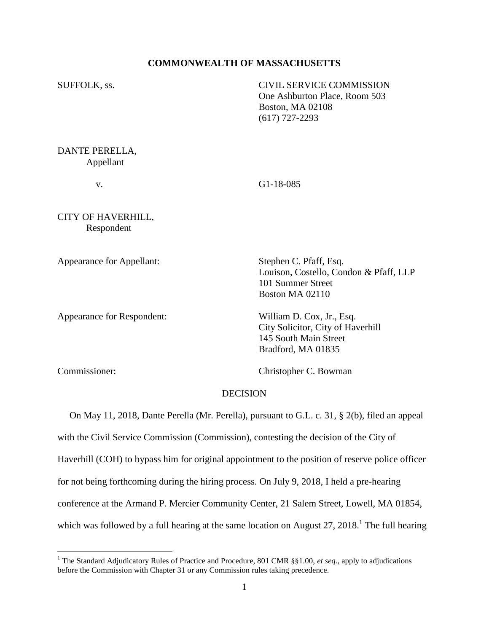### **COMMONWEALTH OF MASSACHUSETTS**

| SUFFOLK, ss.                     | <b>CIVIL SERVICE COMMISSION</b><br>One Ashburton Place, Room 503<br><b>Boston, MA 02108</b><br>$(617)$ 727-2293 |
|----------------------------------|-----------------------------------------------------------------------------------------------------------------|
| DANTE PERELLA,<br>Appellant      |                                                                                                                 |
| v.                               | $G1-18-085$                                                                                                     |
| CITY OF HAVERHILL,<br>Respondent |                                                                                                                 |
| Appearance for Appellant:        | Stephen C. Pfaff, Esq.<br>Louison, Costello, Condon & Pfaff, LLP<br>101 Summer Street<br>Boston MA 02110        |

Appearance for Respondent: William D. Cox, Jr., Esq.

City Solicitor, City of Haverhill 145 South Main Street Bradford, MA 01835

 $\overline{a}$ 

Commissioner: Christopher C. Bowman

### **DECISION**

 On May 11, 2018, Dante Perella (Mr. Perella), pursuant to G.L. c. 31, § 2(b), filed an appeal with the Civil Service Commission (Commission), contesting the decision of the City of Haverhill (COH) to bypass him for original appointment to the position of reserve police officer for not being forthcoming during the hiring process. On July 9, 2018, I held a pre-hearing conference at the Armand P. Mercier Community Center, 21 Salem Street, Lowell, MA 01854, which was followed by a full hearing at the same location on August  $27$ ,  $2018$ .<sup>1</sup> The full hearing

<sup>&</sup>lt;sup>1</sup> The Standard Adjudicatory Rules of Practice and Procedure, 801 CMR §§1.00, *et seq.*, apply to adjudications before the Commission with Chapter 31 or any Commission rules taking precedence.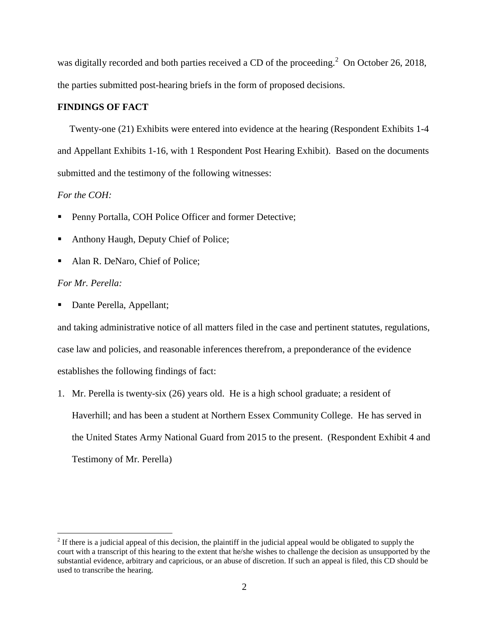was digitally recorded and both parties received a CD of the proceeding. $^2$  On October 26, 2018, the parties submitted post-hearing briefs in the form of proposed decisions.

## **FINDINGS OF FACT**

 Twenty-one (21) Exhibits were entered into evidence at the hearing (Respondent Exhibits 1-4 and Appellant Exhibits 1-16, with 1 Respondent Post Hearing Exhibit). Based on the documents submitted and the testimony of the following witnesses:

## *For the COH:*

- Penny Portalla, COH Police Officer and former Detective;
- Anthony Haugh, Deputy Chief of Police;
- Alan R. DeNaro, Chief of Police;

#### *For Mr. Perella:*

 $\overline{a}$ 

• Dante Perella, Appellant;

and taking administrative notice of all matters filed in the case and pertinent statutes, regulations, case law and policies, and reasonable inferences therefrom, a preponderance of the evidence establishes the following findings of fact:

1. Mr. Perella is twenty-six (26) years old. He is a high school graduate; a resident of Haverhill; and has been a student at Northern Essex Community College. He has served in the United States Army National Guard from 2015 to the present. (Respondent Exhibit 4 and Testimony of Mr. Perella)

 $2<sup>2</sup>$  If there is a judicial appeal of this decision, the plaintiff in the judicial appeal would be obligated to supply the court with a transcript of this hearing to the extent that he/she wishes to challenge the decision as unsupported by the substantial evidence, arbitrary and capricious, or an abuse of discretion. If such an appeal is filed, this CD should be used to transcribe the hearing.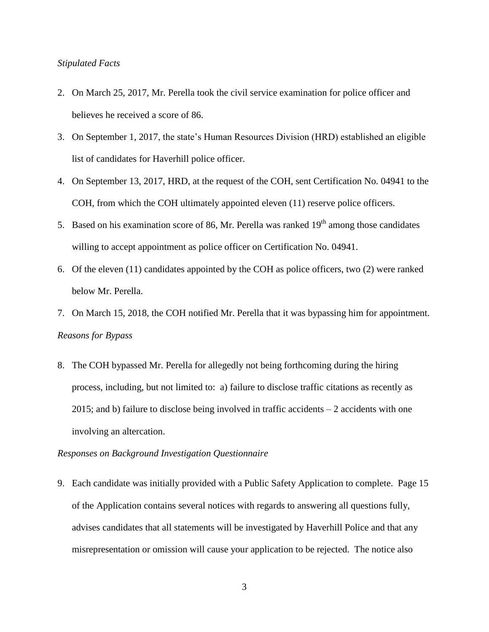### *Stipulated Facts*

- 2. On March 25, 2017, Mr. Perella took the civil service examination for police officer and believes he received a score of 86.
- 3. On September 1, 2017, the state's Human Resources Division (HRD) established an eligible list of candidates for Haverhill police officer.
- 4. On September 13, 2017, HRD, at the request of the COH, sent Certification No. 04941 to the COH, from which the COH ultimately appointed eleven (11) reserve police officers.
- 5. Based on his examination score of 86, Mr. Perella was ranked  $19<sup>th</sup>$  among those candidates willing to accept appointment as police officer on Certification No. 04941.
- 6. Of the eleven (11) candidates appointed by the COH as police officers, two (2) were ranked below Mr. Perella.
- 7. On March 15, 2018, the COH notified Mr. Perella that it was bypassing him for appointment. *Reasons for Bypass*
- 8. The COH bypassed Mr. Perella for allegedly not being forthcoming during the hiring process, including, but not limited to: a) failure to disclose traffic citations as recently as 2015; and b) failure to disclose being involved in traffic accidents – 2 accidents with one involving an altercation.

### *Responses on Background Investigation Questionnaire*

9. Each candidate was initially provided with a Public Safety Application to complete. Page 15 of the Application contains several notices with regards to answering all questions fully, advises candidates that all statements will be investigated by Haverhill Police and that any misrepresentation or omission will cause your application to be rejected. The notice also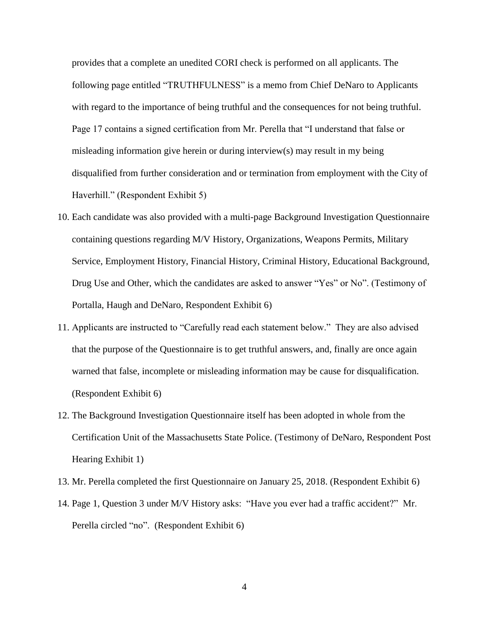provides that a complete an unedited CORI check is performed on all applicants. The following page entitled "TRUTHFULNESS" is a memo from Chief DeNaro to Applicants with regard to the importance of being truthful and the consequences for not being truthful. Page 17 contains a signed certification from Mr. Perella that "I understand that false or misleading information give herein or during interview(s) may result in my being disqualified from further consideration and or termination from employment with the City of Haverhill." (Respondent Exhibit 5)

- 10. Each candidate was also provided with a multi-page Background Investigation Questionnaire containing questions regarding M/V History, Organizations, Weapons Permits, Military Service, Employment History, Financial History, Criminal History, Educational Background, Drug Use and Other, which the candidates are asked to answer "Yes" or No". (Testimony of Portalla, Haugh and DeNaro, Respondent Exhibit 6)
- 11. Applicants are instructed to "Carefully read each statement below." They are also advised that the purpose of the Questionnaire is to get truthful answers, and, finally are once again warned that false, incomplete or misleading information may be cause for disqualification. (Respondent Exhibit 6)
- 12. The Background Investigation Questionnaire itself has been adopted in whole from the Certification Unit of the Massachusetts State Police. (Testimony of DeNaro, Respondent Post Hearing Exhibit 1)
- 13. Mr. Perella completed the first Questionnaire on January 25, 2018. (Respondent Exhibit 6)
- 14. Page 1, Question 3 under M/V History asks: "Have you ever had a traffic accident?" Mr. Perella circled "no". (Respondent Exhibit 6)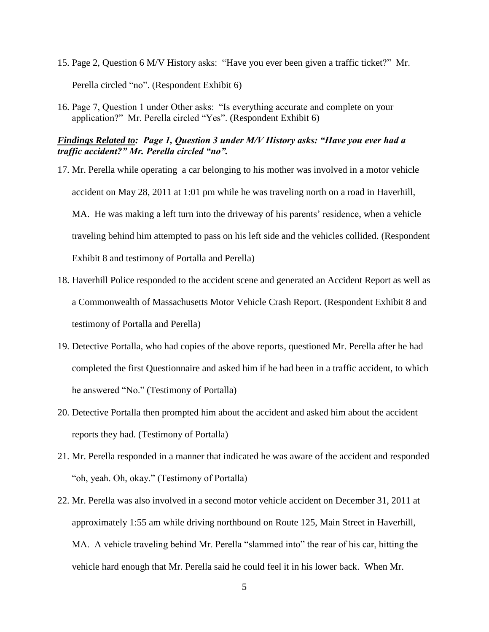- 15. Page 2, Question 6 M/V History asks: "Have you ever been given a traffic ticket?" Mr. Perella circled "no". (Respondent Exhibit 6)
- 16. Page 7, Question 1 under Other asks: "Is everything accurate and complete on your application?" Mr. Perella circled "Yes". (Respondent Exhibit 6)

## *Findings Related to: Page 1, Question 3 under M/V History asks: "Have you ever had a traffic accident?" Mr. Perella circled "no".*

- 17. Mr. Perella while operating a car belonging to his mother was involved in a motor vehicle accident on May 28, 2011 at 1:01 pm while he was traveling north on a road in Haverhill, MA. He was making a left turn into the driveway of his parents' residence, when a vehicle traveling behind him attempted to pass on his left side and the vehicles collided. (Respondent Exhibit 8 and testimony of Portalla and Perella)
- 18. Haverhill Police responded to the accident scene and generated an Accident Report as well as a Commonwealth of Massachusetts Motor Vehicle Crash Report. (Respondent Exhibit 8 and testimony of Portalla and Perella)
- 19. Detective Portalla, who had copies of the above reports, questioned Mr. Perella after he had completed the first Questionnaire and asked him if he had been in a traffic accident, to which he answered "No." (Testimony of Portalla)
- 20. Detective Portalla then prompted him about the accident and asked him about the accident reports they had. (Testimony of Portalla)
- 21. Mr. Perella responded in a manner that indicated he was aware of the accident and responded "oh, yeah. Oh, okay." (Testimony of Portalla)
- 22. Mr. Perella was also involved in a second motor vehicle accident on December 31, 2011 at approximately 1:55 am while driving northbound on Route 125, Main Street in Haverhill, MA. A vehicle traveling behind Mr. Perella "slammed into" the rear of his car, hitting the vehicle hard enough that Mr. Perella said he could feel it in his lower back. When Mr.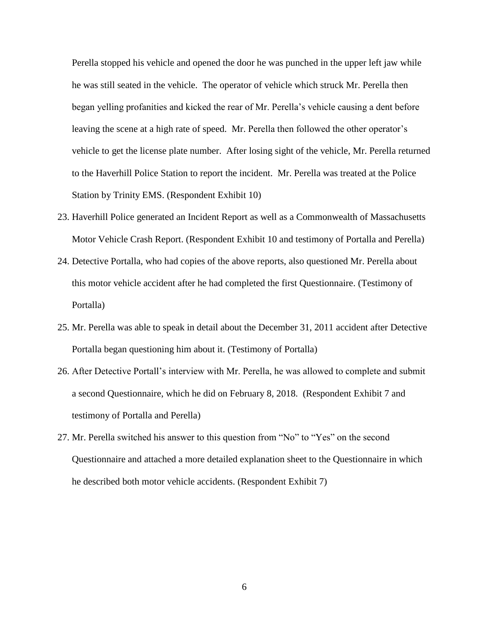Perella stopped his vehicle and opened the door he was punched in the upper left jaw while he was still seated in the vehicle. The operator of vehicle which struck Mr. Perella then began yelling profanities and kicked the rear of Mr. Perella's vehicle causing a dent before leaving the scene at a high rate of speed. Mr. Perella then followed the other operator's vehicle to get the license plate number. After losing sight of the vehicle, Mr. Perella returned to the Haverhill Police Station to report the incident. Mr. Perella was treated at the Police Station by Trinity EMS. (Respondent Exhibit 10)

- 23. Haverhill Police generated an Incident Report as well as a Commonwealth of Massachusetts Motor Vehicle Crash Report. (Respondent Exhibit 10 and testimony of Portalla and Perella)
- 24. Detective Portalla, who had copies of the above reports, also questioned Mr. Perella about this motor vehicle accident after he had completed the first Questionnaire. (Testimony of Portalla)
- 25. Mr. Perella was able to speak in detail about the December 31, 2011 accident after Detective Portalla began questioning him about it. (Testimony of Portalla)
- 26. After Detective Portall's interview with Mr. Perella, he was allowed to complete and submit a second Questionnaire, which he did on February 8, 2018. (Respondent Exhibit 7 and testimony of Portalla and Perella)
- 27. Mr. Perella switched his answer to this question from "No" to "Yes" on the second Questionnaire and attached a more detailed explanation sheet to the Questionnaire in which he described both motor vehicle accidents. (Respondent Exhibit 7)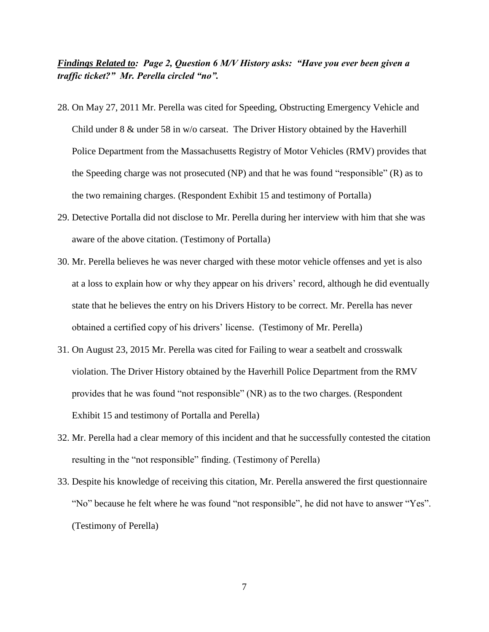# *Findings Related to: Page 2, Question 6 M/V History asks: "Have you ever been given a traffic ticket?" Mr. Perella circled "no".*

- 28. On May 27, 2011 Mr. Perella was cited for Speeding, Obstructing Emergency Vehicle and Child under 8 & under 58 in w/o carseat. The Driver History obtained by the Haverhill Police Department from the Massachusetts Registry of Motor Vehicles (RMV) provides that the Speeding charge was not prosecuted (NP) and that he was found "responsible" (R) as to the two remaining charges. (Respondent Exhibit 15 and testimony of Portalla)
- 29. Detective Portalla did not disclose to Mr. Perella during her interview with him that she was aware of the above citation. (Testimony of Portalla)
- 30. Mr. Perella believes he was never charged with these motor vehicle offenses and yet is also at a loss to explain how or why they appear on his drivers' record, although he did eventually state that he believes the entry on his Drivers History to be correct. Mr. Perella has never obtained a certified copy of his drivers' license. (Testimony of Mr. Perella)
- 31. On August 23, 2015 Mr. Perella was cited for Failing to wear a seatbelt and crosswalk violation. The Driver History obtained by the Haverhill Police Department from the RMV provides that he was found "not responsible" (NR) as to the two charges. (Respondent Exhibit 15 and testimony of Portalla and Perella)
- 32. Mr. Perella had a clear memory of this incident and that he successfully contested the citation resulting in the "not responsible" finding. (Testimony of Perella)
- 33. Despite his knowledge of receiving this citation, Mr. Perella answered the first questionnaire "No" because he felt where he was found "not responsible", he did not have to answer "Yes". (Testimony of Perella)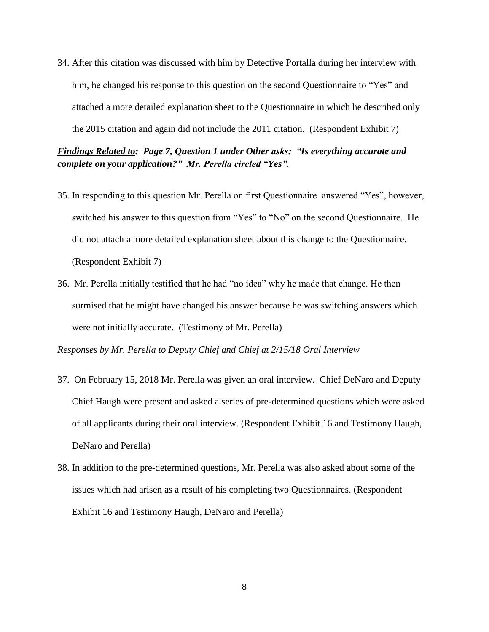34. After this citation was discussed with him by Detective Portalla during her interview with him, he changed his response to this question on the second Questionnaire to "Yes" and attached a more detailed explanation sheet to the Questionnaire in which he described only the 2015 citation and again did not include the 2011 citation. (Respondent Exhibit 7)

*Findings Related to: Page 7, Question 1 under Other asks: "Is everything accurate and complete on your application?" Mr. Perella circled "Yes".*

- 35. In responding to this question Mr. Perella on first Questionnaire answered "Yes", however, switched his answer to this question from "Yes" to "No" on the second Questionnaire. He did not attach a more detailed explanation sheet about this change to the Questionnaire. (Respondent Exhibit 7)
- 36. Mr. Perella initially testified that he had "no idea" why he made that change. He then surmised that he might have changed his answer because he was switching answers which were not initially accurate. (Testimony of Mr. Perella)

*Responses by Mr. Perella to Deputy Chief and Chief at 2/15/18 Oral Interview*

- 37. On February 15, 2018 Mr. Perella was given an oral interview. Chief DeNaro and Deputy Chief Haugh were present and asked a series of pre-determined questions which were asked of all applicants during their oral interview. (Respondent Exhibit 16 and Testimony Haugh, DeNaro and Perella)
- 38. In addition to the pre-determined questions, Mr. Perella was also asked about some of the issues which had arisen as a result of his completing two Questionnaires. (Respondent Exhibit 16 and Testimony Haugh, DeNaro and Perella)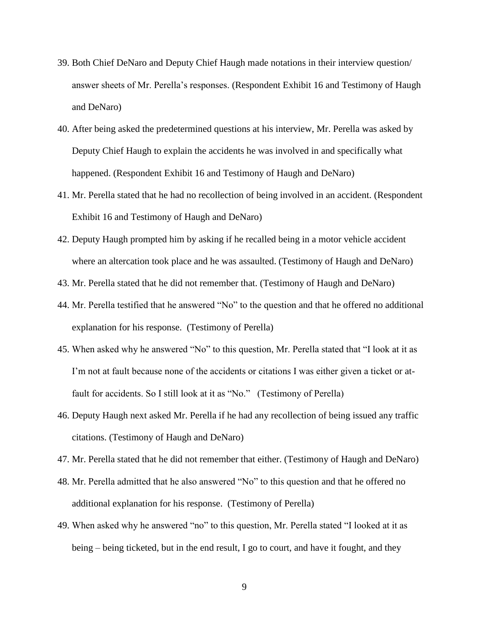- 39. Both Chief DeNaro and Deputy Chief Haugh made notations in their interview question/ answer sheets of Mr. Perella's responses. (Respondent Exhibit 16 and Testimony of Haugh and DeNaro)
- 40. After being asked the predetermined questions at his interview, Mr. Perella was asked by Deputy Chief Haugh to explain the accidents he was involved in and specifically what happened. (Respondent Exhibit 16 and Testimony of Haugh and DeNaro)
- 41. Mr. Perella stated that he had no recollection of being involved in an accident. (Respondent Exhibit 16 and Testimony of Haugh and DeNaro)
- 42. Deputy Haugh prompted him by asking if he recalled being in a motor vehicle accident where an altercation took place and he was assaulted. (Testimony of Haugh and DeNaro)
- 43. Mr. Perella stated that he did not remember that. (Testimony of Haugh and DeNaro)
- 44. Mr. Perella testified that he answered "No" to the question and that he offered no additional explanation for his response. (Testimony of Perella)
- 45. When asked why he answered "No" to this question, Mr. Perella stated that "I look at it as I'm not at fault because none of the accidents or citations I was either given a ticket or atfault for accidents. So I still look at it as "No." (Testimony of Perella)
- 46. Deputy Haugh next asked Mr. Perella if he had any recollection of being issued any traffic citations. (Testimony of Haugh and DeNaro)
- 47. Mr. Perella stated that he did not remember that either. (Testimony of Haugh and DeNaro)
- 48. Mr. Perella admitted that he also answered "No" to this question and that he offered no additional explanation for his response. (Testimony of Perella)
- 49. When asked why he answered "no" to this question, Mr. Perella stated "I looked at it as being – being ticketed, but in the end result, I go to court, and have it fought, and they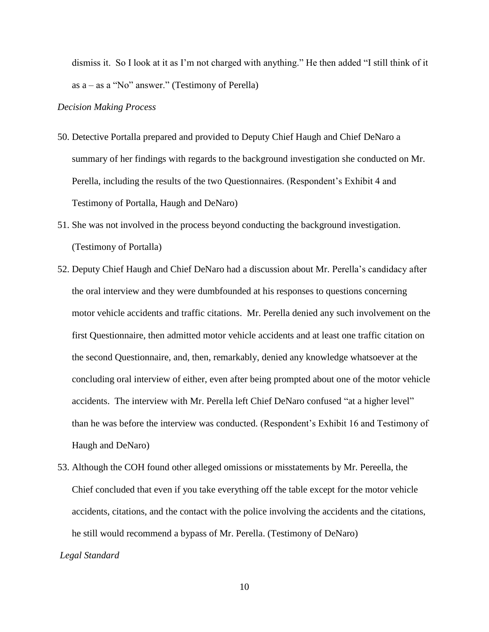dismiss it. So I look at it as I'm not charged with anything." He then added "I still think of it as a – as a "No" answer." (Testimony of Perella)

#### *Decision Making Process*

- 50. Detective Portalla prepared and provided to Deputy Chief Haugh and Chief DeNaro a summary of her findings with regards to the background investigation she conducted on Mr. Perella, including the results of the two Questionnaires. (Respondent's Exhibit 4 and Testimony of Portalla, Haugh and DeNaro)
- 51. She was not involved in the process beyond conducting the background investigation. (Testimony of Portalla)
- 52. Deputy Chief Haugh and Chief DeNaro had a discussion about Mr. Perella's candidacy after the oral interview and they were dumbfounded at his responses to questions concerning motor vehicle accidents and traffic citations. Mr. Perella denied any such involvement on the first Questionnaire, then admitted motor vehicle accidents and at least one traffic citation on the second Questionnaire, and, then, remarkably, denied any knowledge whatsoever at the concluding oral interview of either, even after being prompted about one of the motor vehicle accidents. The interview with Mr. Perella left Chief DeNaro confused "at a higher level" than he was before the interview was conducted. (Respondent's Exhibit 16 and Testimony of Haugh and DeNaro)
- 53. Although the COH found other alleged omissions or misstatements by Mr. Pereella, the Chief concluded that even if you take everything off the table except for the motor vehicle accidents, citations, and the contact with the police involving the accidents and the citations, he still would recommend a bypass of Mr. Perella. (Testimony of DeNaro)

*Legal Standard*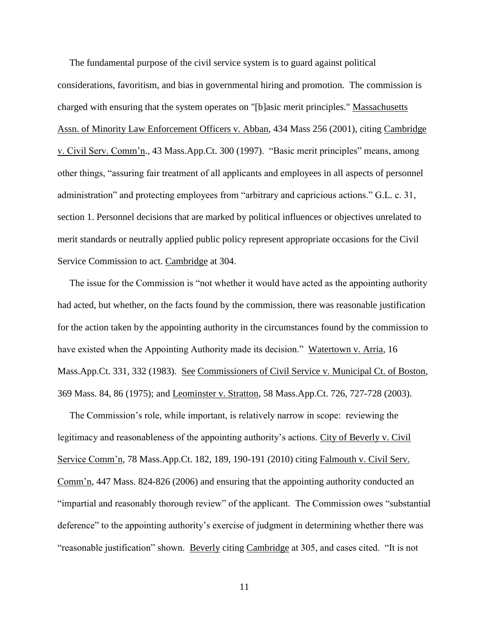The fundamental purpose of the civil service system is to guard against political considerations, favoritism, and bias in governmental hiring and promotion. The commission is charged with ensuring that the system operates on "[b]asic merit principles." Massachusetts Assn. of Minority Law Enforcement Officers v. Abban, 434 Mass 256 (2001), citing Cambridge v. Civil Serv. Comm'n., 43 Mass.App.Ct. 300 (1997). "Basic merit principles" means, among other things, "assuring fair treatment of all applicants and employees in all aspects of personnel administration" and protecting employees from "arbitrary and capricious actions." G.L. c. 31, section 1. Personnel decisions that are marked by political influences or objectives unrelated to merit standards or neutrally applied public policy represent appropriate occasions for the Civil Service Commission to act. Cambridge at 304.

 The issue for the Commission is "not whether it would have acted as the appointing authority had acted, but whether, on the facts found by the commission, there was reasonable justification for the action taken by the appointing authority in the circumstances found by the commission to have existed when the Appointing Authority made its decision." Watertown v. Arria, 16 Mass.App.Ct. 331, 332 (1983). See Commissioners of Civil Service v. Municipal Ct. of Boston, 369 Mass. 84, 86 (1975); and Leominster v. Stratton, 58 Mass.App.Ct. 726, 727-728 (2003).

 The Commission's role, while important, is relatively narrow in scope: reviewing the legitimacy and reasonableness of the appointing authority's actions. City of Beverly v. Civil Service Comm'n, 78 Mass.App.Ct. 182, 189, 190-191 (2010) citing Falmouth v. Civil Serv. Comm'n, 447 Mass. 824-826 (2006) and ensuring that the appointing authority conducted an "impartial and reasonably thorough review" of the applicant. The Commission owes "substantial deference" to the appointing authority's exercise of judgment in determining whether there was "reasonable justification" shown. Beverly citing Cambridge at 305, and cases cited. "It is not

11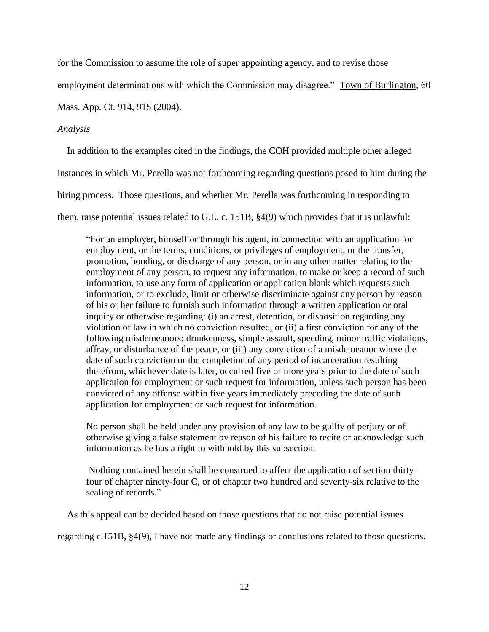for the Commission to assume the role of super appointing agency, and to revise those

employment determinations with which the Commission may disagree." Town of Burlington, 60

Mass. App. Ct. 914, 915 (2004).

## *Analysis*

In addition to the examples cited in the findings, the COH provided multiple other alleged

instances in which Mr. Perella was not forthcoming regarding questions posed to him during the

hiring process. Those questions, and whether Mr. Perella was forthcoming in responding to

them, raise potential issues related to G.L. c. 151B, §4(9) which provides that it is unlawful:

"For an employer, himself or through his agent, in connection with an application for employment, or the terms, conditions, or privileges of employment, or the transfer, promotion, bonding, or discharge of any person, or in any other matter relating to the employment of any person, to request any information, to make or keep a record of such information, to use any form of application or application blank which requests such information, or to exclude, limit or otherwise discriminate against any person by reason of his or her failure to furnish such information through a written application or oral inquiry or otherwise regarding: (i) an arrest, detention, or disposition regarding any violation of law in which no conviction resulted, or (ii) a first conviction for any of the following misdemeanors: drunkenness, simple assault, speeding, minor traffic violations, affray, or disturbance of the peace, or (iii) any conviction of a misdemeanor where the date of such conviction or the completion of any period of incarceration resulting therefrom, whichever date is later, occurred five or more years prior to the date of such application for employment or such request for information, unless such person has been convicted of any offense within five years immediately preceding the date of such application for employment or such request for information.

No person shall be held under any provision of any law to be guilty of perjury or of otherwise giving a false statement by reason of his failure to recite or acknowledge such information as he has a right to withhold by this subsection.

Nothing contained herein shall be construed to affect the application of section thirtyfour of chapter ninety-four C, or of chapter two hundred and seventy-six relative to the sealing of records."

As this appeal can be decided based on those questions that do not raise potential issues

regarding c.151B, §4(9), I have not made any findings or conclusions related to those questions.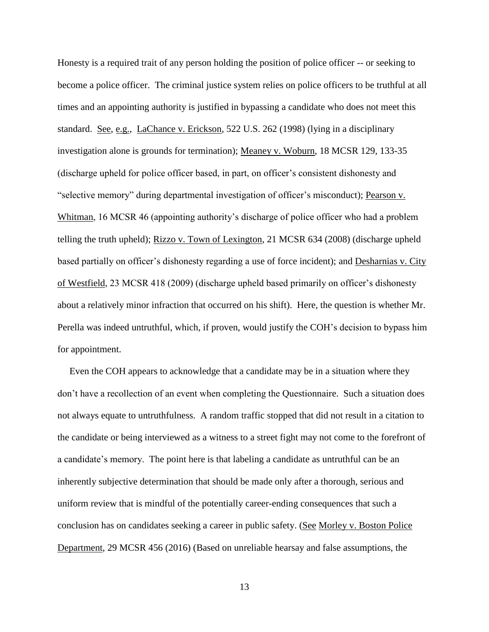Honesty is a required trait of any person holding the position of police officer -- or seeking to become a police officer. The criminal justice system relies on police officers to be truthful at all times and an appointing authority is justified in bypassing a candidate who does not meet this standard. See, e.g., LaChance v. Erickson, 522 U.S. 262 (1998) (lying in a disciplinary investigation alone is grounds for termination); Meaney v. Woburn, 18 MCSR 129, 133-35 (discharge upheld for police officer based, in part, on officer's consistent dishonesty and "selective memory" during departmental investigation of officer's misconduct); Pearson v. Whitman, 16 MCSR 46 (appointing authority's discharge of police officer who had a problem telling the truth upheld); Rizzo v. Town of Lexington, 21 MCSR 634 (2008) (discharge upheld based partially on officer's dishonesty regarding a use of force incident); and Desharnias v. City of Westfield, 23 MCSR 418 (2009) (discharge upheld based primarily on officer's dishonesty about a relatively minor infraction that occurred on his shift). Here, the question is whether Mr. Perella was indeed untruthful, which, if proven, would justify the COH's decision to bypass him for appointment.

 Even the COH appears to acknowledge that a candidate may be in a situation where they don't have a recollection of an event when completing the Questionnaire. Such a situation does not always equate to untruthfulness. A random traffic stopped that did not result in a citation to the candidate or being interviewed as a witness to a street fight may not come to the forefront of a candidate's memory. The point here is that labeling a candidate as untruthful can be an inherently subjective determination that should be made only after a thorough, serious and uniform review that is mindful of the potentially career-ending consequences that such a conclusion has on candidates seeking a career in public safety. (See Morley v. Boston Police Department, 29 MCSR 456 (2016) (Based on unreliable hearsay and false assumptions, the

13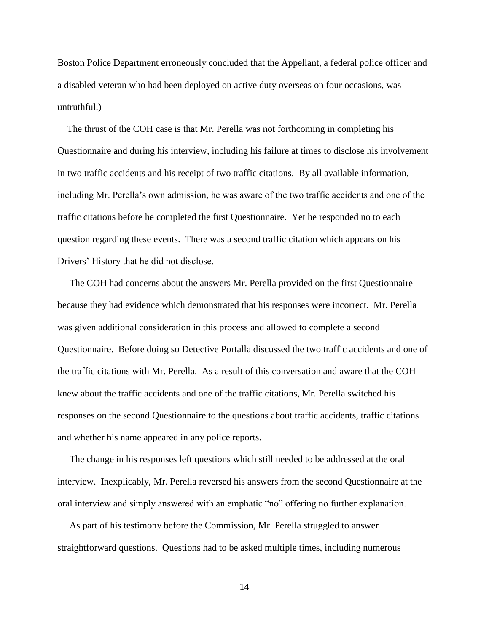Boston Police Department erroneously concluded that the Appellant, a federal police officer and a disabled veteran who had been deployed on active duty overseas on four occasions, was untruthful.)

 The thrust of the COH case is that Mr. Perella was not forthcoming in completing his Questionnaire and during his interview, including his failure at times to disclose his involvement in two traffic accidents and his receipt of two traffic citations. By all available information, including Mr. Perella's own admission, he was aware of the two traffic accidents and one of the traffic citations before he completed the first Questionnaire. Yet he responded no to each question regarding these events. There was a second traffic citation which appears on his Drivers' History that he did not disclose.

 The COH had concerns about the answers Mr. Perella provided on the first Questionnaire because they had evidence which demonstrated that his responses were incorrect. Mr. Perella was given additional consideration in this process and allowed to complete a second Questionnaire. Before doing so Detective Portalla discussed the two traffic accidents and one of the traffic citations with Mr. Perella. As a result of this conversation and aware that the COH knew about the traffic accidents and one of the traffic citations, Mr. Perella switched his responses on the second Questionnaire to the questions about traffic accidents, traffic citations and whether his name appeared in any police reports.

 The change in his responses left questions which still needed to be addressed at the oral interview. Inexplicably, Mr. Perella reversed his answers from the second Questionnaire at the oral interview and simply answered with an emphatic "no" offering no further explanation.

 As part of his testimony before the Commission, Mr. Perella struggled to answer straightforward questions. Questions had to be asked multiple times, including numerous

14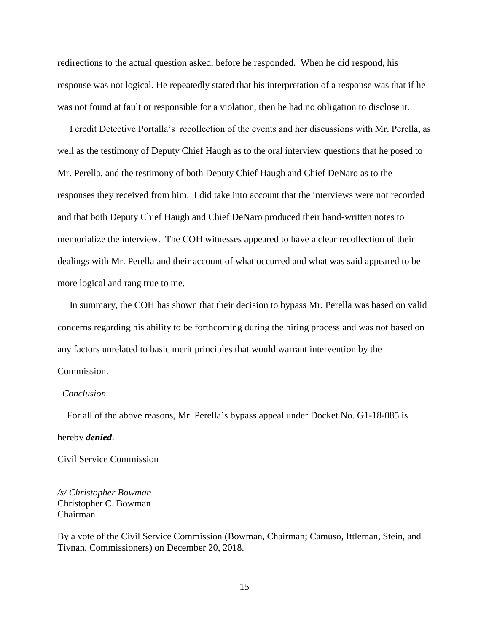redirections to the actual question asked, before he responded. When he did respond, his response was not logical. He repeatedly stated that his interpretation of a response was that if he was not found at fault or responsible for a violation, then he had no obligation to disclose it.

 I credit Detective Portalla's recollection of the events and her discussions with Mr. Perella, as well as the testimony of Deputy Chief Haugh as to the oral interview questions that he posed to Mr. Perella, and the testimony of both Deputy Chief Haugh and Chief DeNaro as to the responses they received from him. I did take into account that the interviews were not recorded and that both Deputy Chief Haugh and Chief DeNaro produced their hand-written notes to memorialize the interview. The COH witnesses appeared to have a clear recollection of their dealings with Mr. Perella and their account of what occurred and what was said appeared to be more logical and rang true to me.

 In summary, the COH has shown that their decision to bypass Mr. Perella was based on valid concerns regarding his ability to be forthcoming during the hiring process and was not based on any factors unrelated to basic merit principles that would warrant intervention by the Commission.

#### *Conclusion*

 For all of the above reasons, Mr. Perella's bypass appeal under Docket No. G1-18-085 is hereby *denied*.

Civil Service Commission

*/s/ Christopher Bowman* Christopher C. Bowman Chairman

By a vote of the Civil Service Commission (Bowman, Chairman; Camuso, Ittleman, Stein, and Tivnan, Commissioners) on December 20, 2018.